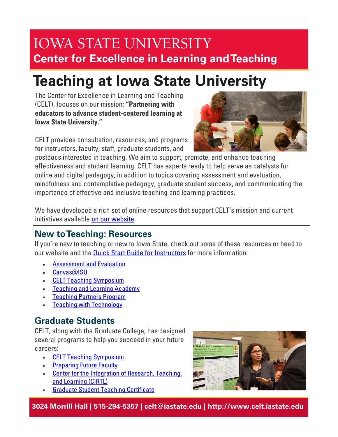# **IOWA STATE UNIVERSITY Center for Excellence in Learning and Teaching**

# **Teaching at Iowa State University**

The Center for Excellence in Learning and Teaching (CELT), focuses on our mission: **"Partnering with educators to advance student-centered learning at Iowa State University."**

CELT provides consultation, resources, and programs for instructors, faculty, staff, graduate students, and



postdocs interested in teaching. We aim to support, promote, and enhance teaching effectiveness and student learning. CELT has experts ready to help serve as catalysts for online and digital pedagogy, in addition to topics covering assessment and evaluation, mindfulness and contemplative pedagogy, graduate student success, and communicating the importance of effective and inclusive teaching and learning practices.

We have developed a rich set of online resources that support CELT's mission and current initiatives available [on our website](https://www.celt.iastate.edu/).

### **New to Teaching: Resources**

If you're new to teaching or new to Iowa State, check out some of these resources or head to our website and the **[Quick Start Guide for Instructors](https://www.celt.iastate.edu/teaching/preparing-to-teach/course-continuity/quick-start-guide-instructors/) for** more information:

- **[Assessment and Evaluation](https://www.celt.iastate.edu/teaching/assessment-and-evaluation/)**
- [Canvas@ISU](https://www.celt.iastate.edu/canvas-isu/)
- [CELT Teaching Symposium](https://www.celt.iastate.edu/events-registration/celt-teaching-symposium/#faculty)
- [Teaching and Learning Academy](https://www.celt.iastate.edu/resources/programs/teaching-and-learning-academy/)
- [Teaching Partners Program](https://www.celt.iastate.edu/resources/programs/celt-teaching-partners-program/)
- [Teaching with Technology](https://www.celt.iastate.edu/teaching/teaching-with-technology/)

## **Graduate Students**

CELT, along with the Graduate College, has designed several programs to help you succeed in your future careers:

- [CELT Teaching Symposium](https://www.celt.iastate.edu/events-registration/celt-teaching-symposium/#ta)
- [Preparing Future Faculty](https://www.celt.iastate.edu/graduate-students-postdocs/preparing-future-faculty/)
- [Center for the Integration of Research, Teaching,](https://www.celt.iastate.edu/graduate-students-postdocs/cirtl/)  [and Learning \(CIRTL\)](https://www.celt.iastate.edu/graduate-students-postdocs/cirtl/)
- [Graduate Student Teaching Certificate](https://www.celt.iastate.edu/graduate-students-postdocs/graduate-student-teaching-certificate/)



**3024 Morrill Hall | 515-294-5357 | celt@iastate.edu | http://www.celt.iastate.edu**